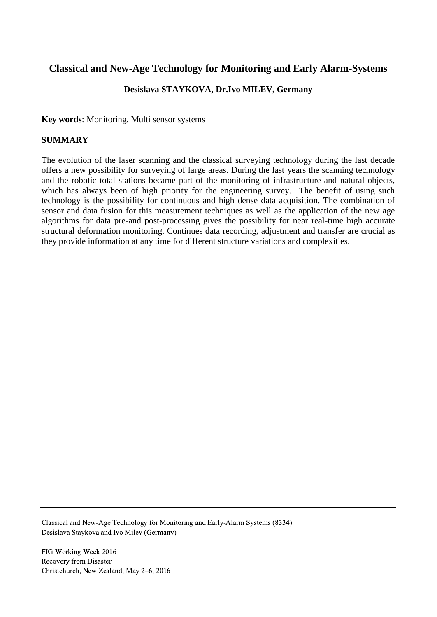# **Classical and New-Age Technology for Monitoring and Early Alarm-Systems**

### **Desislava STAYKOVA, Dr.Ivo MILEV, Germany**

**Key words**: Monitoring, Multi sensor systems

### **SUMMARY**

The evolution of the laser scanning and the classical surveying technology during the last decade offers a new possibility for surveying of large areas. During the last years the scanning technology and the robotic total stations became part of the monitoring of infrastructure and natural objects, which has always been of high priority for the engineering survey. The benefit of using such technology is the possibility for continuous and high dense data acquisition. The combination of sensor and data fusion for this measurement techniques as well as the application of the new age algorithms for data pre-and post-processing gives the possibility for near real-time high accurate structural deformation monitoring. Continues data recording, adjustment and transfer are crucial as they provide information at any time for different structure variations and complexities.

Classical and New-Age Technology for Monitoring and Early-Alarm Systems (8334) Desislava Staykova and Ivo Milev (Germany)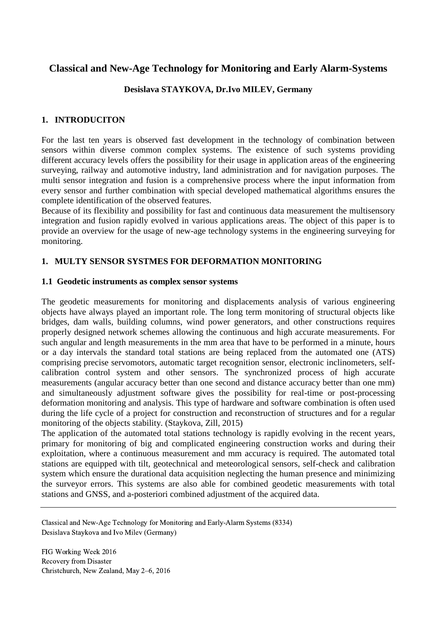# **Classical and New-Age Technology for Monitoring and Early Alarm-Systems**

### **Desislava STAYKOVA, Dr.Ivo MILEV, Germany**

### **1. INTRODUCITON**

For the last ten years is observed fast development in the technology of combination between sensors within diverse common complex systems. The existence of such systems providing different accuracy levels offers the possibility for their usage in application areas of the engineering surveying, railway and automotive industry, land administration and for navigation purposes. The multi sensor integration and fusion is a comprehensive process where the input information from every sensor and further combination with special developed mathematical algorithms ensures the complete identification of the observed features.

Because of its flexibility and possibility for fast and continuous data measurement the multisensory integration and fusion rapidly evolved in various applications areas. The object of this paper is to provide an overview for the usage of new-age technology systems in the engineering surveying for monitoring.

### **1. MULTY SENSOR SYSTMES FOR DEFORMATION MONITORING**

#### **1.1 Geodetic instruments as complex sensor systems**

The geodetic measurements for monitoring and displacements analysis of various engineering objects have always played an important role. The long term monitoring of structural objects like bridges, dam walls, building columns, wind power generators, and other constructions requires properly designed network schemes allowing the continuous and high accurate measurements. For such angular and length measurements in the mm area that have to be performed in a minute, hours or a day intervals the standard total stations are being replaced from the automated one (ATS) comprising precise servomotors, automatic target recognition sensor, electronic inclinometers, selfcalibration control system and other sensors. The synchronized process of high accurate measurements (angular accuracy better than one second and distance accuracy better than one mm) and simultaneously adjustment software gives the possibility for real-time or post-processing deformation monitoring and analysis. This type of hardware and software combination is often used during the life cycle of a project for construction and reconstruction of structures and for a regular monitoring of the objects stability. (Staykova, Zill, 2015)

The application of the automated total stations technology is rapidly evolving in the recent years, primary for monitoring of big and complicated engineering construction works and during their exploitation, where a continuous measurement and mm accuracy is required. The automated total stations are equipped with tilt, geotechnical and meteorological sensors, self-check and calibration system which ensure the durational data acquisition neglecting the human presence and minimizing the surveyor errors. This systems are also able for combined geodetic measurements with total stations and GNSS, and a-posteriori combined adjustment of the acquired data.

Classical and New-Age Technology for Monitoring and Early-Alarm Systems (8334) Desislava Staykova and Ivo Milev (Germany)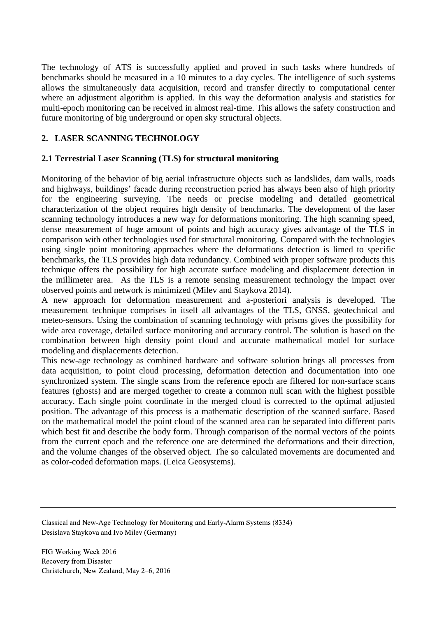The technology of ATS is successfully applied and proved in such tasks where hundreds of benchmarks should be measured in a 10 minutes to a day cycles. The intelligence of such systems allows the simultaneously data acquisition, record and transfer directly to computational center where an adjustment algorithm is applied. In this way the deformation analysis and statistics for multi-epoch monitoring can be received in almost real-time. This allows the safety construction and future monitoring of big underground or open sky structural objects.

## **2. LASER SCANNING TECHNOLOGY**

### **2.1 Terrestrial Laser Scanning (TLS) for structural monitoring**

Monitoring of the behavior of big aerial infrastructure objects such as landslides, dam walls, roads and highways, buildings' facade during reconstruction period has always been also of high priority for the engineering surveying. The needs or precise modeling and detailed geometrical characterization of the object requires high density of benchmarks. The development of the laser scanning technology introduces a new way for deformations monitoring. The high scanning speed, dense measurement of huge amount of points and high accuracy gives advantage of the TLS in comparison with other technologies used for structural monitoring. Compared with the technologies using single point monitoring approaches where the deformations detection is limed to specific benchmarks, the TLS provides high data redundancy. Combined with proper software products this technique offers the possibility for high accurate surface modeling and displacement detection in the millimeter area. As the TLS is a remote sensing measurement technology the impact over observed points and network is minimized (Milev and Staykova 2014).

A new approach for deformation measurement and a-posteriori analysis is developed. The measurement technique comprises in itself all advantages of the TLS, GNSS, geotechnical and meteo-sensors. Using the combination of scanning technology with prisms gives the possibility for wide area coverage, detailed surface monitoring and accuracy control. The solution is based on the combination between high density point cloud and accurate mathematical model for surface modeling and displacements detection.

This new-age technology as combined hardware and software solution brings all processes from data acquisition, to point cloud processing, deformation detection and documentation into one synchronized system. The single scans from the reference epoch are filtered for non-surface scans features (ghosts) and are merged together to create a common null scan with the highest possible accuracy. Each single point coordinate in the merged cloud is corrected to the optimal adjusted position. The advantage of this process is a mathematic description of the scanned surface. Based on the mathematical model the point cloud of the scanned area can be separated into different parts which best fit and describe the body form. Through comparison of the normal vectors of the points from the current epoch and the reference one are determined the deformations and their direction, and the volume changes of the observed object. The so calculated movements are documented and as color-coded deformation maps. (Leica Geosystems).

Classical and New-Age Technology for Monitoring and Early-Alarm Systems (8334) Desislava Staykova and Ivo Milev (Germany)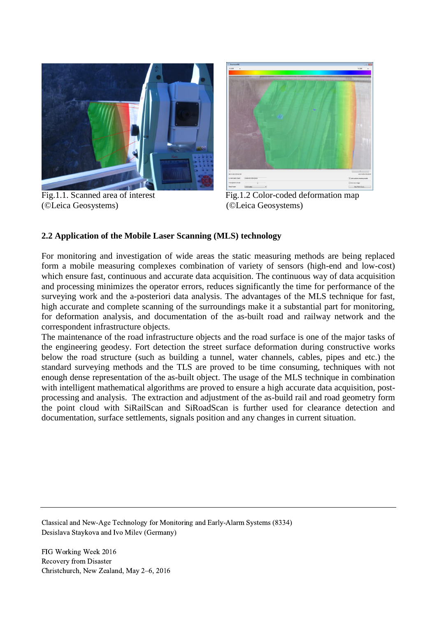

(©Leica Geosystems) (©Leica Geosystems)



Fig.1.1. Scanned area of interest Fig.1.2 Color-coded deformation map

#### **2.2 Application of the Mobile Laser Scanning (MLS) technology**

For monitoring and investigation of wide areas the static measuring methods are being replaced form a mobile measuring complexes combination of variety of sensors (high-end and low-cost) which ensure fast, continuous and accurate data acquisition. The continuous way of data acquisition and processing minimizes the operator errors, reduces significantly the time for performance of the surveying work and the a-posteriori data analysis. The advantages of the MLS technique for fast, high accurate and complete scanning of the surroundings make it a substantial part for monitoring, for deformation analysis, and documentation of the as-built road and railway network and the correspondent infrastructure objects.

The maintenance of the road infrastructure objects and the road surface is one of the major tasks of the engineering geodesy. Fort detection the street surface deformation during constructive works below the road structure (such as building a tunnel, water channels, cables, pipes and etc.) the standard surveying methods and the TLS are proved to be time consuming, techniques with not enough dense representation of the as-built object. The usage of the MLS technique in combination with intelligent mathematical algorithms are proved to ensure a high accurate data acquisition, postprocessing and analysis. The extraction and adjustment of the as-build rail and road geometry form the point cloud with SiRailScan and SiRoadScan is further used for clearance detection and documentation, surface settlements, signals position and any changes in current situation.

Classical and New-Age Technology for Monitoring and Early-Alarm Systems (8334) Desislava Staykova and Ivo Milev (Germany)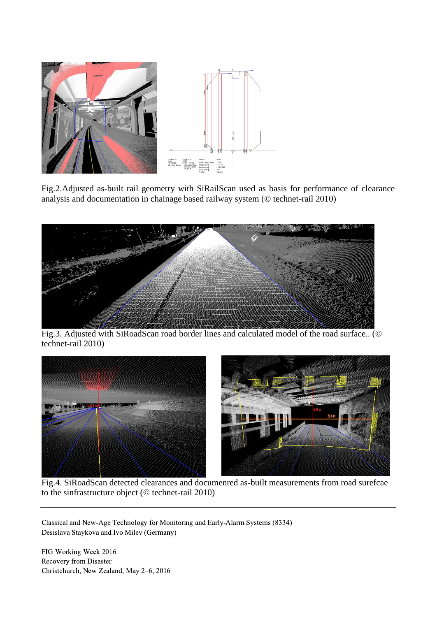

Fig.2.Adjusted as-built rail geometry with SiRailScan used as basis for performance of clearance analysis and documentation in chainage based railway system (© technet-rail 2010)



Fig.3. Adjusted with SiRoadScan road border lines and calculated model of the road surface.. (© technet-rail 2010)



Fig.4. SiRoadScan detected clearances and documenred as-built measurements from road surefcae to the sinfrastructure object (© technet-rail 2010)

Classical and New-Age Technology for Monitoring and Early-Alarm Systems (8334) Desislava Staykova and Ivo Milev (Germany)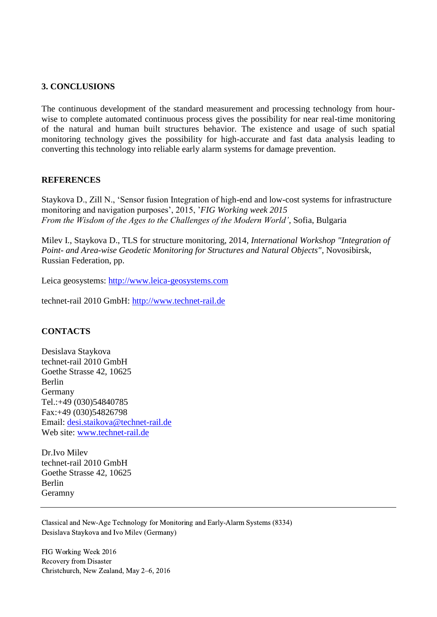#### **3. CONCLUSIONS**

The continuous development of the standard measurement and processing technology from hourwise to complete automated continuous process gives the possibility for near real-time monitoring of the natural and human built structures behavior. The existence and usage of such spatial monitoring technology gives the possibility for high-accurate and fast data analysis leading to converting this technology into reliable early alarm systems for damage prevention.

#### **REFERENCES**

Staykova D., Zill N., 'Sensor fusion Integration of high-end and low-cost systems for infrastructure monitoring and navigation purposes', 2015, '*FIG Working week 2015 From the Wisdom of the Ages to the Challenges of the Modern World'*, Sofia, Bulgaria

Milev I., Staykova D., TLS for structure monitoring, 2014, *International Workshop "Integration of Point- and Area-wise Geodetic Monitoring for Structures and Natural Objects"*, Novosibirsk, Russian Federation, pp.

Leica geosystems: [http://www.leica-geosystems.com](http://www.leica-geosystems.com/)

technet-rail 2010 GmbH: [http://www.technet-rail.de](http://www.technet-rail.de/)

### **CONTACTS**

Desislava Staykova technet-rail 2010 GmbH Goethe Strasse 42, 10625 Berlin Germany Tel.:+49 (030)54840785 Fax:+49 (030)54826798 Email: [desi.staikova@technet-rail.de](mailto:desi.staikova@technet-rail.de) Web site: [www.technet-rail.de](http://www.technet-rail.de/) 

Dr.Ivo Milev technet-rail 2010 GmbH Goethe Strasse 42, 10625 Berlin Geramny

Classical and New-Age Technology for Monitoring and Early-Alarm Systems (8334) Desislava Staykova and Ivo Milev (Germany)